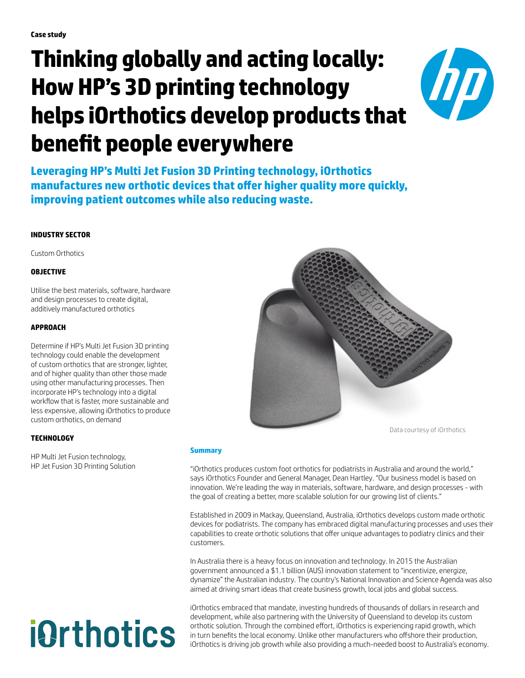# **Thinking globally and acting locally: How HP's 3D printing technology helps iOrthotics develop products that benefit people everywhere**



**Leveraging HP's Multi Jet Fusion 3D Printing technology, iOrthotics manufactures new orthotic devices that offer higher quality more quickly, improving patient outcomes while also reducing waste.** 

### **INDUSTRY SECTOR**

Custom Orthotics

#### **OBJECTIVE**

Utilise the best materials, software, hardware and design processes to create digital, additively manufactured orthotics

#### **APPROACH**

Determine if HP's Multi Jet Fusion 3D printing technology could enable the development of custom orthotics that are stronger, lighter, and of higher quality than other those made using other manufacturing processes. Then incorporate HP's technology into a digital workflow that is faster, more sustainable and less expensive, allowing iOrthotics to produce custom orthotics, on demand

#### **TECHNOLOGY**

HP Multi Jet Fusion technology, HP Jet Fusion 3D Printing Solution

# **i**&rthotics



Data courtesy of iOrthotics

#### **Summary**

"iOrthotics produces custom foot orthotics for podiatrists in Australia and around the world," says iOrthotics Founder and General Manager, Dean Hartley. "Our business model is based on innovation. We're leading the way in materials, software, hardware, and design processes - with the goal of creating a better, more scalable solution for our growing list of clients."

Established in 2009 in Mackay, Queensland, Australia, iOrthotics develops custom made orthotic devices for podiatrists. The company has embraced digital manufacturing processes and uses their capabilities to create orthotic solutions that offer unique advantages to podiatry clinics and their customers.

In Australia there is a heavy focus on innovation and technology. In 2015 the Australian government announced a \$1.1 billion (AUS) innovation statement to "incentivize, energize, dynamize" the Australian industry. The country's National Innovation and Science Agenda was also aimed at driving smart ideas that create business growth, local jobs and global success.

iOrthotics embraced that mandate, investing hundreds of thousands of dollars in research and development, while also partnering with the University of Queensland to develop its custom orthotic solution. Through the combined effort, iOrthotics is experiencing rapid growth, which in turn benefits the local economy. Unlike other manufacturers who offshore their production, iOrthotics is driving job growth while also providing a much-needed boost to Australia's economy.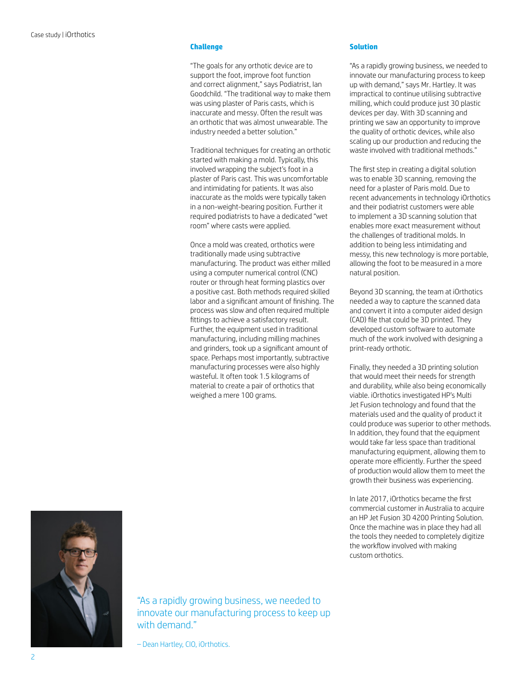#### **Challenge**

"The goals for any orthotic device are to support the foot, improve foot function and correct alignment," says Podiatrist, Ian Goodchild. "The traditional way to make them was using plaster of Paris casts, which is inaccurate and messy. Often the result was an orthotic that was almost unwearable. The industry needed a better solution."

Traditional techniques for creating an orthotic started with making a mold. Typically, this involved wrapping the subject's foot in a plaster of Paris cast. This was uncomfortable and intimidating for patients. It was also inaccurate as the molds were typically taken in a non-weight-bearing position. Further it required podiatrists to have a dedicated "wet room" where casts were applied.

Once a mold was created, orthotics were traditionally made using subtractive manufacturing. The product was either milled using a computer numerical control (CNC) router or through heat forming plastics over a positive cast. Both methods required skilled labor and a significant amount of finishing. The process was slow and often required multiple fittings to achieve a satisfactory result. Further, the equipment used in traditional manufacturing, including milling machines and grinders, took up a significant amount of space. Perhaps most importantly, subtractive manufacturing processes were also highly wasteful. It often took 1.5 kilograms of material to create a pair of orthotics that weighed a mere 100 grams.

#### **Solution**

"As a rapidly growing business, we needed to innovate our manufacturing process to keep up with demand," says Mr. Hartley. It was impractical to continue utilising subtractive milling, which could produce just 30 plastic devices per day. With 3D scanning and printing we saw an opportunity to improve the quality of orthotic devices, while also scaling up our production and reducing the waste involved with traditional methods."

The first step in creating a digital solution was to enable 3D scanning, removing the need for a plaster of Paris mold. Due to recent advancements in technology iOrthotics and their podiatrist customers were able to implement a 3D scanning solution that enables more exact measurement without the challenges of traditional molds. In addition to being less intimidating and messy, this new technology is more portable, allowing the foot to be measured in a more natural position.

Beyond 3D scanning, the team at iOrthotics needed a way to capture the scanned data and convert it into a computer aided design (CAD) file that could be 3D printed. They developed custom software to automate much of the work involved with designing a print-ready orthotic.

Finally, they needed a 3D printing solution that would meet their needs for strength and durability, while also being economically viable. iOrthotics investigated HP's Multi Jet Fusion technology and found that the materials used and the quality of product it could produce was superior to other methods. In addition, they found that the equipment would take far less space than traditional manufacturing equipment, allowing them to operate more efficiently. Further the speed of production would allow them to meet the growth their business was experiencing.

In late 2017, iOrthotics became the first commercial customer in Australia to acquire an HP Jet Fusion 3D 4200 Printing Solution. Once the machine was in place they had all the tools they needed to completely digitize the workflow involved with making custom orthotics.



"As a rapidly growing business, we needed to innovate our manufacturing process to keep up with demand."

– Dean Hartley, CIO, iOrthotics.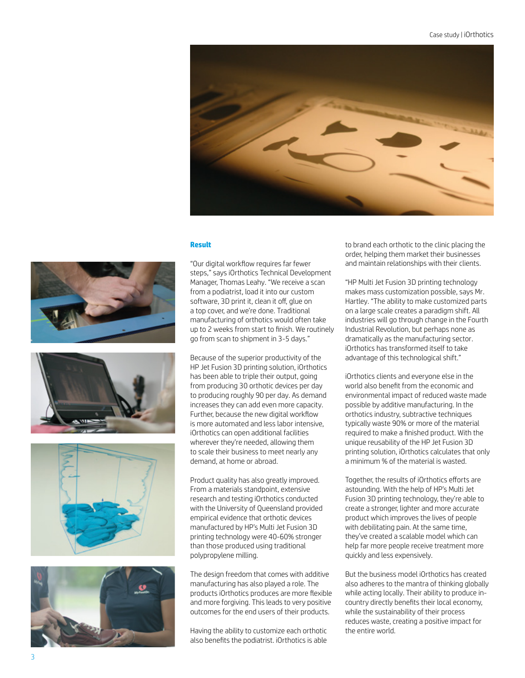

#### **Result**









"Our digital workflow requires far fewer steps," says iOrthotics Technical Development Manager, Thomas Leahy. "We receive a scan from a podiatrist, load it into our custom software, 3D print it, clean it off, glue on a top cover, and we're done. Traditional manufacturing of orthotics would often take up to 2 weeks from start to finish. We routinely go from scan to shipment in 3-5 days."

Because of the superior productivity of the HP Jet Fusion 3D printing solution, iOrthotics has been able to triple their output, going from producing 30 orthotic devices per day to producing roughly 90 per day. As demand increases they can add even more capacity. Further, because the new digital workflow is more automated and less labor intensive, iOrthotics can open additional facilities wherever they're needed, allowing them to scale their business to meet nearly any demand, at home or abroad.

Product quality has also greatly improved. From a materials standpoint, extensive research and testing iOrthotics conducted with the University of Queensland provided empirical evidence that orthotic devices manufactured by HP's Multi Jet Fusion 3D printing technology were 40-60% stronger than those produced using traditional polypropylene milling.

The design freedom that comes with additive manufacturing has also played a role. The products iOrthotics produces are more flexible and more forgiving. This leads to very positive outcomes for the end users of their products.

Having the ability to customize each orthotic also benefits the podiatrist. iOrthotics is able

to brand each orthotic to the clinic placing the order, helping them market their businesses and maintain relationships with their clients.

"HP Multi Jet Fusion 3D printing technology makes mass customization possible, says Mr. Hartley. "The ability to make customized parts on a large scale creates a paradigm shift. All industries will go through change in the Fourth Industrial Revolution, but perhaps none as dramatically as the manufacturing sector. iOrthotics has transformed itself to take advantage of this technological shift."

iOrthotics clients and everyone else in the world also benefit from the economic and environmental impact of reduced waste made possible by additive manufacturing. In the orthotics industry, subtractive techniques typically waste 90% or more of the material required to make a finished product. With the unique reusability of the HP Jet Fusion 3D printing solution, iOrthotics calculates that only a minimum % of the material is wasted.

Together, the results of iOrthotics efforts are astounding. With the help of HP's Multi Jet Fusion 3D printing technology, they're able to create a stronger, lighter and more accurate product which improves the lives of people with debilitating pain. At the same time, they've created a scalable model which can help far more people receive treatment more quickly and less expensively.

But the business model iOrthotics has created also adheres to the mantra of thinking globally while acting locally. Their ability to produce incountry directly benefits their local economy, while the sustainability of their process reduces waste, creating a positive impact for the entire world.